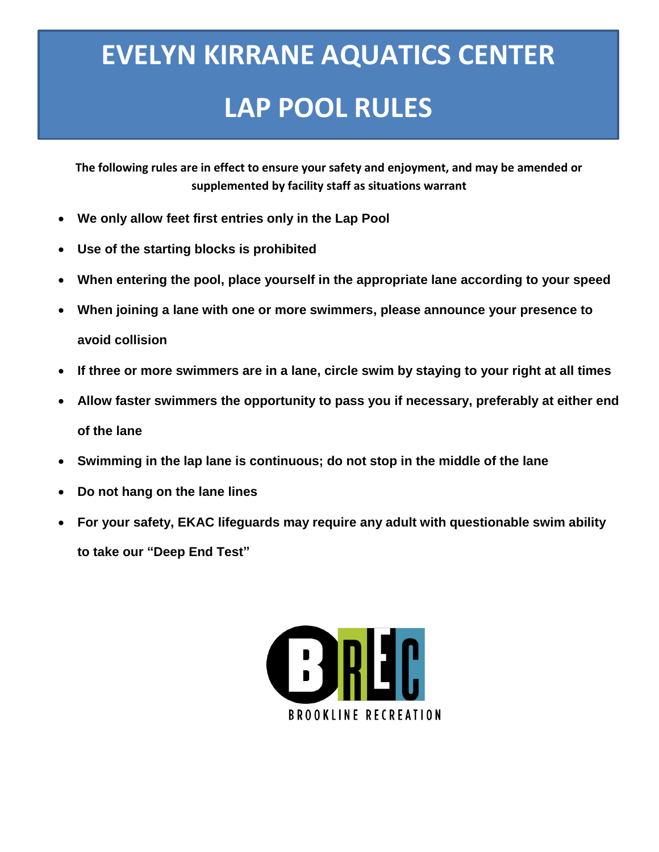## **EVELYN KIRRANE AQUATICS CENTER LAP POOL RULES**

**The following rules are in effect to ensure your safety and enjoyment, and may be amended or supplemented by facility staff as situations warrant**

- **We only allow feet first entries only in the Lap Pool**
- **Use of the starting blocks is prohibited**
- **When entering the pool, place yourself in the appropriate lane according to your speed**
- **When joining a lane with one or more swimmers, please announce your presence to avoid collision**
- **If three or more swimmers are in a lane, circle swim by staying to your right at all times**
- **Allow faster swimmers the opportunity to pass you if necessary, preferably at either end of the lane**
- **Swimming in the lap lane is continuous; do not stop in the middle of the lane**
- **Do not hang on the lane lines**
- **For your safety, EKAC lifeguards may require any adult with questionable swim ability to take our "Deep End Test"**